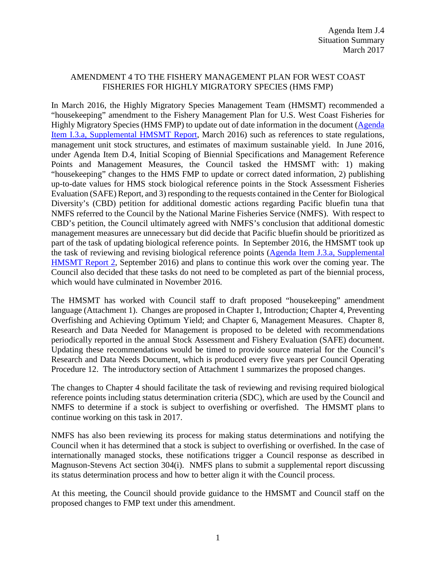## AMENDMENT 4 TO THE FISHERY MANAGEMENT PLAN FOR WEST COAST FISHERIES FOR HIGHLY MIGRATORY SPECIES (HMS FMP)

In March 2016, the Highly Migratory Species Management Team (HMSMT) recommended a "housekeeping" amendment to the Fishery Management Plan for U.S. West Coast Fisheries for Highly Migratory Species (HMS FMP) to update out of date information in the document [\(Agenda](http://www.pcouncil.org/wp-content/uploads/2016/03/I3a_Sup_HMSMT_Rpt_MAR2016BB.pdf)  [Item I.3.a, Supplemental HMSMT Report,](http://www.pcouncil.org/wp-content/uploads/2016/03/I3a_Sup_HMSMT_Rpt_MAR2016BB.pdf) March 2016) such as references to state regulations, management unit stock structures, and estimates of maximum sustainable yield. In June 2016, under Agenda Item D.4, Initial Scoping of Biennial Specifications and Management Reference Points and Management Measures, the Council tasked the HMSMT with: 1) making "housekeeping" changes to the HMS FMP to update or correct dated information, 2) publishing up-to-date values for HMS stock biological reference points in the Stock Assessment Fisheries Evaluation (SAFE) Report, and 3) responding to the requests contained in the Center for Biological Diversity's (CBD) petition for additional domestic actions regarding Pacific bluefin tuna that NMFS referred to the Council by the National Marine Fisheries Service (NMFS). With respect to CBD's petition, the Council ultimately agreed with NMFS's conclusion that additional domestic management measures are unnecessary but did decide that Pacific bluefin should be prioritized as part of the task of updating biological reference points. In September 2016, the HMSMT took up the task of reviewing and revising biological reference points [\(Agenda Item J.3.a, Supplemental](http://www.pcouncil.org/wp-content/uploads/2016/09/J3a_Sup_HMSMT_Rpt2_SEPT2016BB.pdf)  [HMSMT Report 2,](http://www.pcouncil.org/wp-content/uploads/2016/09/J3a_Sup_HMSMT_Rpt2_SEPT2016BB.pdf) September 2016) and plans to continue this work over the coming year. The Council also decided that these tasks do not need to be completed as part of the biennial process, which would have culminated in November 2016.

The HMSMT has worked with Council staff to draft proposed "housekeeping" amendment language (Attachment 1). Changes are proposed in Chapter 1, Introduction; Chapter 4, Preventing Overfishing and Achieving Optimum Yield; and Chapter 6, Management Measures. Chapter 8, Research and Data Needed for Management is proposed to be deleted with recommendations periodically reported in the annual Stock Assessment and Fishery Evaluation (SAFE) document. Updating these recommendations would be timed to provide source material for the Council's Research and Data Needs Document, which is produced every five years per Council Operating Procedure 12. The introductory section of Attachment 1 summarizes the proposed changes.

The changes to Chapter 4 should facilitate the task of reviewing and revising required biological reference points including status determination criteria (SDC), which are used by the Council and NMFS to determine if a stock is subject to overfishing or overfished. The HMSMT plans to continue working on this task in 2017.

NMFS has also been reviewing its process for making status determinations and notifying the Council when it has determined that a stock is subject to overfishing or overfished. In the case of internationally managed stocks, these notifications trigger a Council response as described in Magnuson-Stevens Act section 304(i). NMFS plans to submit a supplemental report discussing its status determination process and how to better align it with the Council process.

At this meeting, the Council should provide guidance to the HMSMT and Council staff on the proposed changes to FMP text under this amendment.